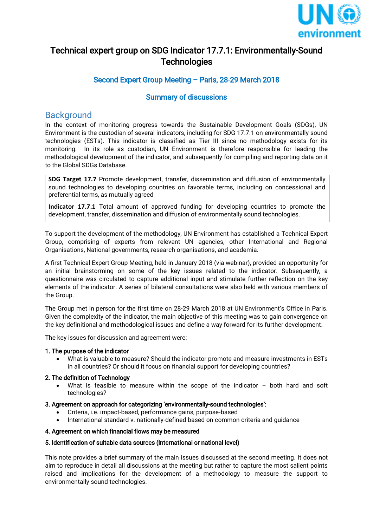

# Technical expert group on SDG Indicator 17.7.1: Environmentally-Sound **Technologies**

## Second Expert Group Meeting – Paris, 28-29 March 2018

## Summary of discussions

## **Background**

In the context of monitoring progress towards the Sustainable Development Goals (SDGs), UN Environment is the custodian of several indicators, including for SDG 17.7.1 on environmentally sound technologies (ESTs). This indicator is classified as Tier III since no methodology exists for its monitoring. In its role as custodian, UN Environment is therefore responsible for leading the methodological development of the indicator, and subsequently for compiling and reporting data on it to the Global SDGs Database.

**SDG Target 17.7** Promote development, transfer, dissemination and diffusion of environmentally sound technologies to developing countries on favorable terms, including on concessional and preferential terms, as mutually agreed

**Indicator 17.7.1** Total amount of approved funding for developing countries to promote the development, transfer, dissemination and diffusion of environmentally sound technologies.

To support the development of the methodology, UN Environment has established a Technical Expert Group, comprising of experts from relevant UN agencies, other International and Regional Organisations, National governments, research organisations, and academia.

A first Technical Expert Group Meeting, held in January 2018 (via webinar), provided an opportunity for an initial brainstorming on some of the key issues related to the indicator. Subsequently, a questionnaire was circulated to capture additional input and stimulate further reflection on the key elements of the indicator. A series of bilateral consultations were also held with various members of the Group.

The Group met in person for the first time on 28-29 March 2018 at UN Environment's Office in Paris. Given the complexity of the indicator, the main objective of this meeting was to gain convergence on the key definitional and methodological issues and define a way forward for its further development.

The key issues for discussion and agreement were:

#### 1. The purpose of the indicator

 What is valuable to measure? Should the indicator promote and measure investments in ESTs in all countries? Or should it focus on financial support for developing countries?

#### 2. The definition of Technology

 What is feasible to measure within the scope of the indicator – both hard and soft technologies?

#### 3. Agreement on approach for categorizing 'environmentally-sound technologies':

- Criteria, i.e. impact-based, performance gains, purpose-based
- International standard v. nationally-defined based on common criteria and guidance

#### 4. Agreement on which financial flows may be measured

#### 5. Identification of suitable data sources (international or national level)

This note provides a brief summary of the main issues discussed at the second meeting. It does not aim to reproduce in detail all discussions at the meeting but rather to capture the most salient points raised and implications for the development of a methodology to measure the support to environmentally sound technologies.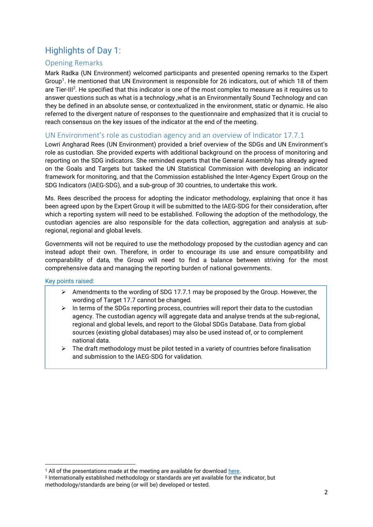# Highlights of Day 1:

### Opening Remarks

Mark Radka (UN Environment) welcomed participants and presented opening remarks to the Expert Group<sup>1</sup>. He mentioned that UN Environment is responsible for 26 indicators, out of which 18 of them are Tier-III<sup>2</sup>. He specified that this indicator is one of the most complex to measure as it requires us to answer questions such as what is a technology ,what is an Environmentally Sound Technology and can they be defined in an absolute sense, or contextualized in the environment, static or dynamic. He also referred to the divergent nature of responses to the questionnaire and emphasized that it is crucial to reach consensus on the key issues of the indicator at the end of the meeting.

### UN Environment's role as custodian agency and an overview of Indicator 17.7.1

Lowri Angharad Rees (UN Environment) provided a brief overview of the SDGs and UN Environment's role as custodian. She provided experts with additional background on the process of monitoring and reporting on the SDG indicators. She reminded experts that the General Assembly has already agreed on the Goals and Targets but tasked the UN Statistical Commission with developing an indicator framework for monitoring, and that the Commission established the Inter-Agency Expert Group on the SDG Indicators (IAEG-SDG), and a sub-group of 30 countries, to undertake this work.

Ms. Rees described the process for adopting the indicator methodology, explaining that once it has been agreed upon by the Expert Group it will be submitted to the IAEG-SDG for their consideration, after which a reporting system will need to be established. Following the adoption of the methodology, the custodian agencies are also responsible for the data collection, aggregation and analysis at subregional, regional and global levels.

Governments will not be required to use the methodology proposed by the custodian agency and can instead adopt their own. Therefore, in order to encourage its use and ensure compatibility and comparability of data, the Group will need to find a balance between striving for the most comprehensive data and managing the reporting burden of national governments.

#### Key points raised:

- $\triangleright$  Amendments to the wording of SDG 17.7.1 may be proposed by the Group. However, the wording of Target 17.7 cannot be changed.
- $\triangleright$  In terms of the SDGs reporting process, countries will report their data to the custodian agency. The custodian agency will aggregate data and analyse trends at the sub-regional, regional and global levels, and report to the Global SDGs Database. Data from global sources (existing global databases) may also be used instead of, or to complement national data.
- $\triangleright$  The draft methodology must be pilot tested in a variety of countries before finalisation and submission to the IAEG-SDG for validation.

**<sup>.</sup>** <sup>1</sup> All of the presentations made at the meeting are available for download [here.](http://spaces.oneplanetnetwork.org/technical-expert-group-sdg-indicator-1771-environmentally-sound-technologies)

<sup>2</sup> Internationally established methodology or standards are yet available for the indicator, but methodology/standards are being (or will be) developed or tested.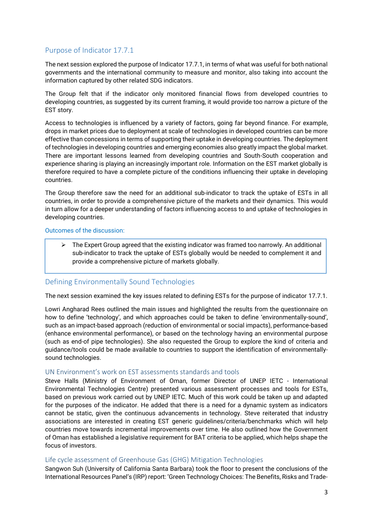### Purpose of Indicator 17.7.1

The next session explored the purpose of Indicator 17.7.1, in terms of what was useful for both national governments and the international community to measure and monitor, also taking into account the information captured by other related SDG indicators.

The Group felt that if the indicator only monitored financial flows from developed countries to developing countries, as suggested by its current framing, it would provide too narrow a picture of the EST story.

Access to technologies is influenced by a variety of factors, going far beyond finance. For example, drops in market prices due to deployment at scale of technologies in developed countries can be more effective than concessions in terms of supporting their uptake in developing countries. The deployment of technologies in developing countries and emerging economies also greatly impact the global market. There are important lessons learned from developing countries and South-South cooperation and experience sharing is playing an increasingly important role. Information on the EST market globally is therefore required to have a complete picture of the conditions influencing their uptake in developing countries.

The Group therefore saw the need for an additional sub-indicator to track the uptake of ESTs in all countries, in order to provide a comprehensive picture of the markets and their dynamics. This would in turn allow for a deeper understanding of factors influencing access to and uptake of technologies in developing countries.

#### Outcomes of the discussion:

 $\triangleright$  The Expert Group agreed that the existing indicator was framed too narrowly. An additional sub-indicator to track the uptake of ESTs globally would be needed to complement it and provide a comprehensive picture of markets globally.

### Defining Environmentally Sound Technologies

The next session examined the key issues related to defining ESTs for the purpose of indicator 17.7.1.

Lowri Angharad Rees outlined the main issues and highlighted the results from the questionnaire on how to define 'technology', and which approaches could be taken to define 'environmentally-sound', such as an impact-based approach (reduction of environmental or social impacts), performance-based (enhance environmental performance), or based on the technology having an environmental purpose (such as end-of pipe technologies). She also requested the Group to explore the kind of criteria and guidance/tools could be made available to countries to support the identification of environmentallysound technologies.

#### UN Environment's work on EST assessments standards and tools

Steve Halls (Ministry of Environment of Oman, former Director of UNEP IETC - International Environmental Technologies Centre) presented various assessment processes and tools for ESTs, based on previous work carried out by UNEP IETC. Much of this work could be taken up and adapted for the purposes of the indicator. He added that there is a need for a dynamic system as indicators cannot be static, given the continuous advancements in technology. Steve reiterated that industry associations are interested in creating EST generic guidelines/criteria/benchmarks which will help countries move towards incremental improvements over time. He also outlined how the Government of Oman has established a legislative requirement for BAT criteria to be applied, which helps shape the focus of investors.

#### Life cycle assessment of Greenhouse Gas (GHG) Mitigation Technologies

Sangwon Suh (University of California Santa Barbara) took the floor to present the conclusions of the International Resources Panel's (IRP) report: 'Green Technology Choices: The Benefits, Risks and Trade-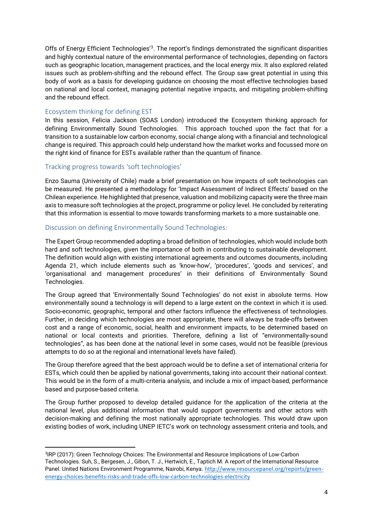Offs of Energy Efficient Technologies<sup>'3</sup>. The report's findings demonstrated the significant disparities and highly contextual nature of the environmental performance of technologies, depending on factors such as geographic location, management practices, and the local energy mix. It also explored related issues such as problem-shifting and the rebound effect. The Group saw great potential in using this body of work as a basis for developing guidance on choosing the most effective technologies based on national and local context, managing potential negative impacts, and mitigating problem-shifting and the rebound effect.

#### Ecosystem thinking for defining EST

1

In this session, Felicia Jackson (SOAS London) introduced the Ecosystem thinking approach for defining Environmentally Sound Technologies. This approach touched upon the fact that for a transition to a sustainable low carbon economy, social change along with a financial and technological change is required. This approach could help understand how the market works and focussed more on the right kind of finance for ESTs available rather than the quantum of finance.

#### Tracking progress towards 'soft technologies'

Enzo Sauma (University of Chile) made a brief presentation on how impacts of soft technologies can be measured. He presented a methodology for 'Impact Assessment of Indirect Effects' based on the Chilean experience. He highlighted that presence, valuation and mobilizing capacity were the three main axis to measure soft technologies at the project, programme or policy level. He concluded by reiterating that this information is essential to move towards transforming markets to a more sustainable one.

#### Discussion on defining Environmentally Sound Technologies:

The Expert Group recommended adopting a broad definition of technologies, which would include both hard and soft technologies, given the importance of both in contributing to sustainable development. The definition would align with existing international agreements and outcomes documents, including Agenda 21, which include elements such as 'know-how', 'procedures', 'goods and services', and 'organisational and management procedures' in their definitions of Environmentally Sound Technologies.

The Group agreed that 'Environmentally Sound Technologies' do not exist in absolute terms. How environmentally sound a technology is will depend to a large extent on the context in which it is used. Socio-economic, geographic, temporal and other factors influence the effectiveness of technologies. Further, in deciding which technologies are most appropriate, there will always be trade-offs between cost and a range of economic, social, health and environment impacts, to be determined based on national or local contexts and priorities. Therefore, defining a list of "environmentally-sound technologies", as has been done at the national level in some cases, would not be feasible (previous attempts to do so at the regional and international levels have failed).

The Group therefore agreed that the best approach would be to define a set of international criteria for ESTs, which could then be applied by national governments, taking into account their national context. This would be in the form of a multi-criteria analysis, and include a mix of impact-based, performance based and purpose-based criteria.

The Group further proposed to develop detailed guidance for the application of the criteria at the national level, plus additional information that would support governments and other actors with decision-making and defining the most nationally appropriate technologies. This would draw upon existing bodies of work, including UNEP IETC's work on technology assessment criteria and tools, and

<sup>&</sup>lt;sup>3</sup>IRP (2017): Green Technology Choices: The Environmental and Resource Implications of Low-Carbon Technologies. Suh, S., Bergesen, J., Gibon, T. J., Hertwich, E., Taptich M. A report of the International Resource Panel. United Nations Environment Programme, Nairobi, Kenya*.* [http://www.resourcepanel.org/reports/green](http://www.resourcepanel.org/reports/green-energy-choices-benefits-risks-and-trade-offs-low-carbon-technologies-electricity)[energy-choices-benefits-risks-and-trade-offs-low-carbon-technologies-electricity](http://www.resourcepanel.org/reports/green-energy-choices-benefits-risks-and-trade-offs-low-carbon-technologies-electricity)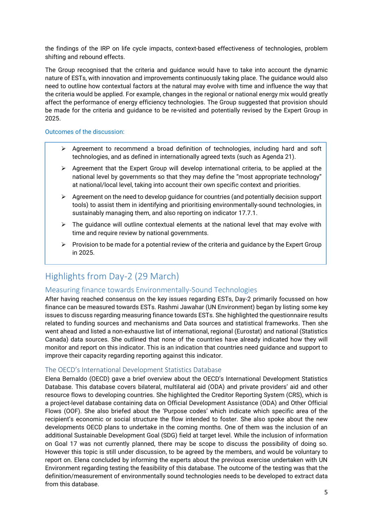the findings of the IRP on life cycle impacts, context-based effectiveness of technologies, problem shifting and rebound effects.

The Group recognised that the criteria and guidance would have to take into account the dynamic nature of ESTs, with innovation and improvements continuously taking place. The guidance would also need to outline how contextual factors at the natural may evolve with time and influence the way that the criteria would be applied. For example, changes in the regional or national energy mix would greatly affect the performance of energy efficiency technologies. The Group suggested that provision should be made for the criteria and guidance to be re-visited and potentially revised by the Expert Group in 2025.

#### Outcomes of the discussion:

- $\triangleright$  Agreement to recommend a broad definition of technologies, including hard and soft technologies, and as defined in internationally agreed texts (such as Agenda 21).
- $\triangleright$  Agreement that the Expert Group will develop international criteria, to be applied at the national level by governments so that they may define the "most appropriate technology" at national/local level, taking into account their own specific context and priorities.
- $\triangleright$  Agreement on the need to develop guidance for countries (and potentially decision support tools) to assist them in identifying and prioritising environmentally-sound technologies, in sustainably managing them, and also reporting on indicator 17.7.1.
- $\triangleright$  The quidance will outline contextual elements at the national level that may evolve with time and require review by national governments.
- $\triangleright$  Provision to be made for a potential review of the criteria and quidance by the Expert Group in 2025.

# Highlights from Day-2 (29 March)

### Measuring finance towards Environmentally-Sound Technologies

After having reached consensus on the key issues regarding ESTs, Day-2 primarily focussed on how finance can be measured towards ESTs. Rashmi Jawahar (UN Environment) began by listing some key issues to discuss regarding measuring finance towards ESTs. She highlighted the questionnaire results related to funding sources and mechanisms and Data sources and statistical frameworks. Then she went ahead and listed a non-exhaustive list of international, regional (Eurostat) and national (Statistics Canada) data sources. She outlined that none of the countries have already indicated how they will monitor and report on this indicator. This is an indication that countries need guidance and support to improve their capacity regarding reporting against this indicator.

#### The OECD's International Development Statistics Database

Elena Bernaldo (OECD) gave a brief overview about the OECD's International Development Statistics Database. This database covers bilateral, multilateral aid (ODA) and private providers' aid and other resource flows to developing countries. She highlighted the Creditor Reporting System (CRS), which is a project-level database containing data on Official Development Assistance (ODA) and Other Official Flows (OOF). She also briefed about the 'Purpose codes' which indicate which specific area of the recipient's economic or social structure the flow intended to foster. She also spoke about the new developments OECD plans to undertake in the coming months. One of them was the inclusion of an additional Sustainable Development Goal (SDG) field at target level. While the inclusion of information on Goal 17 was not currently planned, there may be scope to discuss the possibility of doing so. However this topic is still under discussion, to be agreed by the members, and would be voluntary to report on. Elena concluded by informing the experts about the previous exercise undertaken with UN Environment regarding testing the feasibility of this database. The outcome of the testing was that the definition/measurement of environmentally sound technologies needs to be developed to extract data from this database.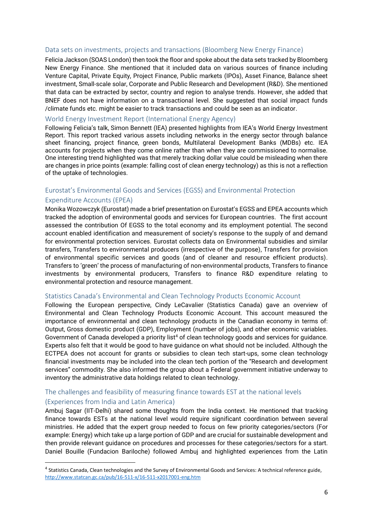#### Data sets on investments, projects and transactions (Bloomberg New Energy Finance)

Felicia Jackson (SOAS London) then took the floor and spoke about the data sets tracked by Bloomberg New Energy Finance. She mentioned that it included data on various sources of finance including Venture Capital, Private Equity, Project Finance, Public markets (IPOs), Asset Finance, Balance sheet investment, Small-scale solar, Corporate and Public Research and Development (R&D). She mentioned that data can be extracted by sector, country and region to analyse trends. However, she added that BNEF does not have information on a transactional level. She suggested that social impact funds /climate funds etc. might be easier to track transactions and could be seen as an indicator.

#### World Energy Investment Report (International Energy Agency)

Following Felicia's talk, Simon Bennett (IEA) presented highlights from IEA's World Energy Investment Report. This report tracked various assets including networks in the energy sector through balance sheet financing, project finance, green bonds, Multilateral Development Banks (MDBs) etc. IEA accounts for projects when they come online rather than when they are commissioned to normalise. One interesting trend highlighted was that merely tracking dollar value could be misleading when there are changes in price points (example: falling cost of clean energy technology) as this is not a reflection of the uptake of technologies.

## Eurostat's Environmental Goods and Services (EGSS) and Environmental Protection Expenditure Accounts (EPEA)

Monika Wozowczyk (Eurostat) made a brief presentation on Eurostat's EGSS and EPEA accounts which tracked the adoption of environmental goods and services for European countries. The first account assessed the contribution Of EGSS to the total economy and its employment potential. The second account enabled identification and measurement of society's response to the supply of and demand for environmental protection services. Eurostat collects data on Environmental subsidies and similar transfers, Transfers to environmental producers (irrespective of the purpose), Transfers for provision of environmental specific services and goods (and of cleaner and resource efficient products). Transfers to 'green' the process of manufacturing of non-environmental products, Transfers to finance investments by environmental producers, Transfers to finance R&D expenditure relating to environmental protection and resource management.

#### Statistics Canada's Environmental and Clean Technology Products Economic Account

Following the European perspective, Cindy LeCavalier (Statistics Canada) gave an overview of Environmental and Clean Technology Products Economic Account. This account measured the importance of environmental and clean technology products in the Canadian economy in terms of: Output, Gross domestic product (GDP), Employment (number of jobs), and other economic variables. Government of Canada developed a priority list<sup>4</sup> of clean technology goods and services for guidance. Experts also felt that it would be good to have guidance on what should not be included. Although the ECTPEA does not account for grants or subsidies to clean tech start-ups, some clean technology financial investments may be included into the clean tech portion of the "Research and development services" commodity. She also informed the group about a Federal government initiative underway to inventory the administrative data holdings related to clean technology.

#### The challenges and feasibility of measuring finance towards EST at the national levels

#### (Experiences from India and Latin America)

**.** 

Ambuj Sagar (IIT-Delhi) shared some thoughts from the India context. He mentioned that tracking finance towards ESTs at the national level would require significant coordination between several ministries. He added that the expert group needed to focus on few priority categories/sectors (For example: Energy) which take up a large portion of GDP and are crucial for sustainable development and then provide relevant guidance on procedures and processes for these categories/sectors for a start. Daniel Bouille (Fundacion Bariloche) followed Ambuj and highlighted experiences from the Latin

<sup>&</sup>lt;sup>4</sup> Statistics Canada, Clean technologies and the Survey of Environmental Goods and Services: A technical reference guide, <http://www.statcan.gc.ca/pub/16-511-x/16-511-x2017001-eng.htm>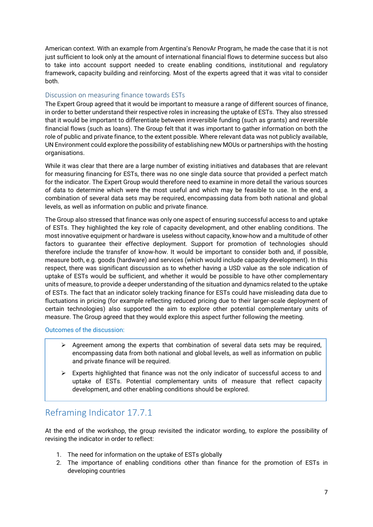American context. With an example from Argentina's RenovAr Program, he made the case that it is not just sufficient to look only at the amount of international financial flows to determine success but also to take into account support needed to create enabling conditions, institutional and regulatory framework, capacity building and reinforcing. Most of the experts agreed that it was vital to consider both.

#### Discussion on measuring finance towards ESTs

The Expert Group agreed that it would be important to measure a range of different sources of finance, in order to better understand their respective roles in increasing the uptake of ESTs. They also stressed that it would be important to differentiate between irreversible funding (such as grants) and reversible financial flows (such as loans). The Group felt that it was important to gather information on both the role of public and private finance, to the extent possible. Where relevant data was not publicly available, UN Environment could explore the possibility of establishing new MOUs or partnerships with the hosting organisations.

While it was clear that there are a large number of existing initiatives and databases that are relevant for measuring financing for ESTs, there was no one single data source that provided a perfect match for the indicator. The Expert Group would therefore need to examine in more detail the various sources of data to determine which were the most useful and which may be feasible to use. In the end, a combination of several data sets may be required, encompassing data from both national and global levels, as well as information on public and private finance.

The Group also stressed that finance was only one aspect of ensuring successful access to and uptake of ESTs. They highlighted the key role of capacity development, and other enabling conditions. The most innovative equipment or hardware is useless without capacity, know-how and a multitude of other factors to guarantee their effective deployment. Support for promotion of technologies should therefore include the transfer of know-how. It would be important to consider both and, if possible, measure both, e.g. goods (hardware) and services (which would include capacity development). In this respect, there was significant discussion as to whether having a USD value as the sole indication of uptake of ESTs would be sufficient, and whether it would be possible to have other complementary units of measure, to provide a deeper understanding of the situation and dynamics related to the uptake of ESTs. The fact that an indicator solely tracking finance for ESTs could have misleading data due to fluctuations in pricing (for example reflecting reduced pricing due to their larger-scale deployment of certain technologies) also supported the aim to explore other potential complementary units of measure. The Group agreed that they would explore this aspect further following the meeting.

Outcomes of the discussion:

- $\triangleright$  Agreement among the experts that combination of several data sets may be required, encompassing data from both national and global levels, as well as information on public and private finance will be required.
- $\triangleright$  Experts highlighted that finance was not the only indicator of successful access to and uptake of ESTs. Potential complementary units of measure that reflect capacity development, and other enabling conditions should be explored.

## Reframing Indicator 17.7.1

At the end of the workshop, the group revisited the indicator wording, to explore the possibility of revising the indicator in order to reflect:

- 1. The need for information on the uptake of ESTs globally
- 2. The importance of enabling conditions other than finance for the promotion of ESTs in developing countries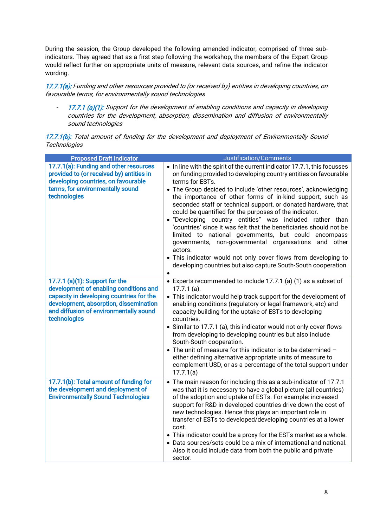During the session, the Group developed the following amended indicator, comprised of three subindicators. They agreed that as a first step following the workshop, the members of the Expert Group would reflect further on appropriate units of measure, relevant data sources, and refine the indicator wording.

17.7.1(a): Funding and other resources provided to (or received by) entities in developing countries, on favourable terms, for environmentally sound technologies

17.7.1 (a)(1): Support for the development of enabling conditions and capacity in developing countries for the development, absorption, dissemination and diffusion of environmentally sound technologies

17.7.1(b): Total amount of funding for the development and deployment of Environmentally Sound **Technologies** 

| <b>Proposed Draft Indicator</b>                                                                                                                                                                                          | Justification/Comments                                                                                                                                                                                                                                                                                                                                                                                                                                                                                                                                                                                                                                                                                                                                                                                                                     |
|--------------------------------------------------------------------------------------------------------------------------------------------------------------------------------------------------------------------------|--------------------------------------------------------------------------------------------------------------------------------------------------------------------------------------------------------------------------------------------------------------------------------------------------------------------------------------------------------------------------------------------------------------------------------------------------------------------------------------------------------------------------------------------------------------------------------------------------------------------------------------------------------------------------------------------------------------------------------------------------------------------------------------------------------------------------------------------|
| 17.7.1(a): Funding and other resources<br>provided to (or received by) entities in<br>developing countries, on favourable<br>terms, for environmentally sound<br>technologies                                            | • In line with the spirit of the current indicator 17.7.1, this focusses<br>on funding provided to developing country entities on favourable<br>terms for ESTs.<br>• The Group decided to include 'other resources', acknowledging<br>the importance of other forms of in-kind support, such as<br>seconded staff or technical support, or donated hardware, that<br>could be quantified for the purposes of the indicator.<br>• "Developing country entities" was included rather than<br>'countries' since it was felt that the beneficiaries should not be<br>limited to national governments, but could encompass<br>governments, non-governmental organisations and other<br>actors.<br>• This indicator would not only cover flows from developing to<br>developing countries but also capture South-South cooperation.<br>$\bullet$ |
| 17.7.1 (a)(1): Support for the<br>development of enabling conditions and<br>capacity in developing countries for the<br>development, absorption, dissemination<br>and diffusion of environmentally sound<br>technologies | • Experts recommended to include 17.7.1 (a) (1) as a subset of<br>$17.7.1$ (a).<br>• This indicator would help track support for the development of<br>enabling conditions (regulatory or legal framework, etc) and<br>capacity building for the uptake of ESTs to developing<br>countries.<br>• Similar to 17.7.1 (a), this indicator would not only cover flows<br>from developing to developing countries but also include<br>South-South cooperation.<br>• The unit of measure for this indicator is to be determined -<br>either defining alternative appropriate units of measure to<br>complement USD, or as a percentage of the total support under<br>17.7.1(a)                                                                                                                                                                   |
| 17.7.1(b): Total amount of funding for<br>the development and deployment of<br><b>Environmentally Sound Technologies</b>                                                                                                 | • The main reason for including this as a sub-indicator of 17.7.1<br>was that it is necessary to have a global picture (all countries)<br>of the adoption and uptake of ESTs. For example: increased<br>support for R&D in developed countries drive down the cost of<br>new technologies. Hence this plays an important role in<br>transfer of ESTs to developed/developing countries at a lower<br>cost.<br>• This indicator could be a proxy for the ESTs market as a whole.<br>• Data sources/sets could be a mix of international and national.<br>Also it could include data from both the public and private<br>sector.                                                                                                                                                                                                             |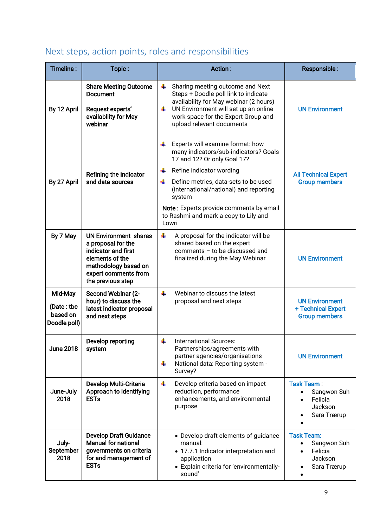|  |  |  | Next steps, action points, roles and responsibilities |
|--|--|--|-------------------------------------------------------|
|--|--|--|-------------------------------------------------------|

| Timeline:                                         | Topic:                                                                                                                                                            | Action:                                                                                                                                                                                                                                                                                                                                      | Responsible:                                                          |
|---------------------------------------------------|-------------------------------------------------------------------------------------------------------------------------------------------------------------------|----------------------------------------------------------------------------------------------------------------------------------------------------------------------------------------------------------------------------------------------------------------------------------------------------------------------------------------------|-----------------------------------------------------------------------|
| By 12 April                                       | <b>Share Meeting Outcome</b><br><b>Document</b><br>Request experts'<br>availability for May<br>webinar                                                            | ÷<br>Sharing meeting outcome and Next<br>Steps + Doodle poll link to indicate<br>availability for May webinar (2 hours)<br>UN Environment will set up an online<br>÷<br>work space for the Expert Group and<br>upload relevant documents                                                                                                     | <b>UN Environment</b>                                                 |
| By 27 April                                       | Refining the indicator<br>and data sources                                                                                                                        | Experts will examine format: how<br>₩<br>many indicators/sub-indicators? Goals<br>17 and 12? Or only Goal 17?<br>Refine indicator wording<br>÷<br>Define metrics, data-sets to be used<br>÷<br>(international/national) and reporting<br>system<br>Note: Experts provide comments by email<br>to Rashmi and mark a copy to Lily and<br>Lowri | <b>All Technical Expert</b><br><b>Group members</b>                   |
| By 7 May                                          | <b>UN Environment shares</b><br>a proposal for the<br>indicator and first<br>elements of the<br>methodology based on<br>expert comments from<br>the previous step | ÷<br>A proposal for the indicator will be<br>shared based on the expert<br>comments - to be discussed and<br>finalized during the May Webinar                                                                                                                                                                                                | <b>UN Environment</b>                                                 |
| Mid-May<br>(Date: tbc<br>based on<br>Doodle poll) | Second Webinar (2-<br>hour) to discuss the<br>latest indicator proposal<br>and next steps                                                                         | ÷<br>Webinar to discuss the latest<br>proposal and next steps                                                                                                                                                                                                                                                                                | <b>UN Environment</b><br>+ Technical Expert<br><b>Group members</b>   |
| <b>June 2018</b>                                  | Develop reporting<br>system                                                                                                                                       | ÷<br><b>International Sources:</b><br>Partnerships/agreements with<br>partner agencies/organisations<br>National data: Reporting system -<br>4<br>Survey?                                                                                                                                                                                    | <b>UN Environment</b>                                                 |
| June-July<br>2018                                 | Develop Multi-Criteria<br>Approach to identifying<br><b>ESTs</b>                                                                                                  | ÷<br>Develop criteria based on impact<br>reduction, performance<br>enhancements, and environmental<br>purpose                                                                                                                                                                                                                                | Task Team:<br>Sangwon Suh<br>Felicia<br>Jackson<br>Sara Trærup        |
| July-<br>September<br>2018                        | <b>Develop Draft Guidance</b><br><b>Manual for national</b><br>governments on criteria<br>for and management of<br><b>ESTs</b>                                    | • Develop draft elements of guidance<br>manual:<br>• 17.7.1 Indicator interpretation and<br>application<br>• Explain criteria for 'environmentally-<br>sound'                                                                                                                                                                                | <b>Task Team:</b><br>Sangwon Suh<br>Felicia<br>Jackson<br>Sara Trærup |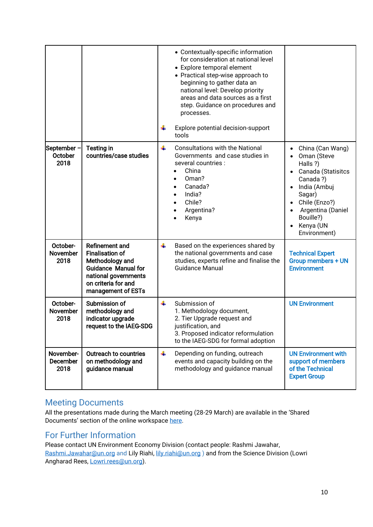|                                |                                                                                                                                                                       |   | • Contextually-specific information<br>for consideration at national level<br>• Explore temporal element<br>• Practical step-wise approach to<br>beginning to gather data an<br>national level: Develop priority<br>areas and data sources as a first<br>step. Guidance on procedures and<br>processes.<br>Explore potential decision-support<br>tools |                                                                                                                                                                                         |
|--------------------------------|-----------------------------------------------------------------------------------------------------------------------------------------------------------------------|---|--------------------------------------------------------------------------------------------------------------------------------------------------------------------------------------------------------------------------------------------------------------------------------------------------------------------------------------------------------|-----------------------------------------------------------------------------------------------------------------------------------------------------------------------------------------|
| September -<br>October<br>2018 | <b>Testing in</b><br>countries/case studies                                                                                                                           | ÷ | <b>Consultations with the National</b><br>Governments and case studies in<br>several countries :<br>China<br>Oman?<br>$\bullet$<br>Canada?<br>$\bullet$<br>India?<br>$\bullet$<br>Chile?<br>$\bullet$<br>Argentina?<br>Kenya                                                                                                                           | China (Can Wang)<br>Oman (Steve<br>Halls ?)<br>Canada (Statisitcs<br>Canada?)<br>India (Ambuj<br>Sagar)<br>Chile (Enzo?)<br>Argentina (Daniel<br>Bouille?)<br>Kenya (UN<br>Environment) |
| October-<br>November<br>2018   | <b>Refinement and</b><br><b>Finalisation of</b><br>Methodology and<br><b>Guidance Manual for</b><br>national governments<br>on criteria for and<br>management of ESTs | ÷ | Based on the experiences shared by<br>the national governments and case<br>studies, experts refine and finalise the<br><b>Guidance Manual</b>                                                                                                                                                                                                          | <b>Technical Expert</b><br><b>Group members + UN</b><br><b>Environment</b>                                                                                                              |
| October-<br>November<br>2018   | Submission of<br>methodology and<br>indicator upgrade<br>request to the IAEG-SDG                                                                                      | ÷ | Submission of<br>1. Methodology document,<br>2. Tier Upgrade request and<br>justification, and<br>3. Proposed indicator reformulation<br>to the IAEG-SDG for formal adoption                                                                                                                                                                           | <b>UN Environment</b>                                                                                                                                                                   |
| November-<br>December<br>2018  | Outreach to countries<br>on methodology and<br>guidance manual                                                                                                        | ÷ | Depending on funding, outreach<br>events and capacity building on the<br>methodology and guidance manual                                                                                                                                                                                                                                               | <b>UN Environment with</b><br>support of members<br>of the Technical<br><b>Expert Group</b>                                                                                             |

## Meeting Documents

All the presentations made during the March meeting (28-29 March) are available in the 'Shared Documents' section of the online workspace [here.](http://spaces.oneplanetnetwork.org/technical-expert-group-sdg-indicator-1771-environmentally-sound-technologies)

## For Further Information

Please contact UN Environment Economy Division (contact people: Rashmi Jawahar, [Rashmi.Jawahar@un.org](mailto:Rashmi.Jawahar@un.org) and Lily Riahi, [lily.riahi@un.org](mailto:lily.riahi@un.org) ) and from the Science Division (Lowri Angharad Rees, [Lowri.rees@un.org\)](mailto:Lowri.rees@un.org).